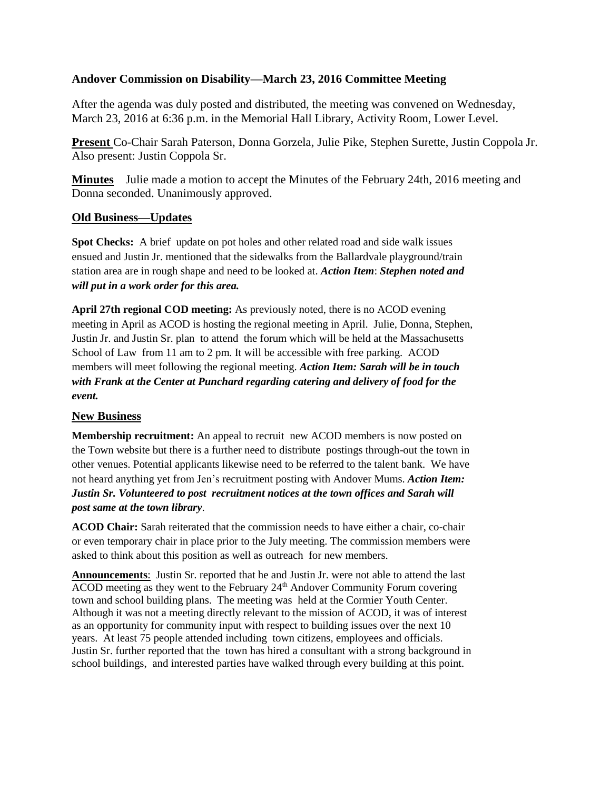## **Andover Commission on Disability—March 23, 2016 Committee Meeting**

After the agenda was duly posted and distributed, the meeting was convened on Wednesday, March 23, 2016 at 6:36 p.m. in the Memorial Hall Library, Activity Room, Lower Level.

**Present** Co-Chair Sarah Paterson, Donna Gorzela, Julie Pike, Stephen Surette, Justin Coppola Jr. Also present: Justin Coppola Sr.

**Minutes** Julie made a motion to accept the Minutes of the February 24th, 2016 meeting and Donna seconded. Unanimously approved.

## **Old Business—Updates**

**Spot Checks:** A brief update on pot holes and other related road and side walk issues ensued and Justin Jr. mentioned that the sidewalks from the Ballardvale playground/train station area are in rough shape and need to be looked at. *Action Item*: *Stephen noted and will put in a work order for this area.*

**April 27th regional COD meeting:** As previously noted, there is no ACOD evening meeting in April as ACOD is hosting the regional meeting in April. Julie, Donna, Stephen, Justin Jr. and Justin Sr. plan to attend the forum which will be held at the Massachusetts School of Law from 11 am to 2 pm. It will be accessible with free parking. ACOD members will meet following the regional meeting. *Action Item: Sarah will be in touch with Frank at the Center at Punchard regarding catering and delivery of food for the event.*

## **New Business**

**Membership recruitment:** An appeal to recruit new ACOD members is now posted on the Town website but there is a further need to distribute postings through-out the town in other venues. Potential applicants likewise need to be referred to the talent bank. We have not heard anything yet from Jen's recruitment posting with Andover Mums. *Action Item: Justin Sr. Volunteered to post recruitment notices at the town offices and Sarah will post same at the town library*.

**ACOD Chair:** Sarah reiterated that the commission needs to have either a chair, co-chair or even temporary chair in place prior to the July meeting. The commission members were asked to think about this position as well as outreach for new members.

**Announcements**: Justin Sr. reported that he and Justin Jr. were not able to attend the last  $\overline{ACOD}$  meeting as they went to the February  $24<sup>th</sup>$  Andover Community Forum covering town and school building plans. The meeting was held at the Cormier Youth Center. Although it was not a meeting directly relevant to the mission of ACOD, it was of interest as an opportunity for community input with respect to building issues over the next 10 years. At least 75 people attended including town citizens, employees and officials. Justin Sr. further reported that the town has hired a consultant with a strong background in school buildings, and interested parties have walked through every building at this point.